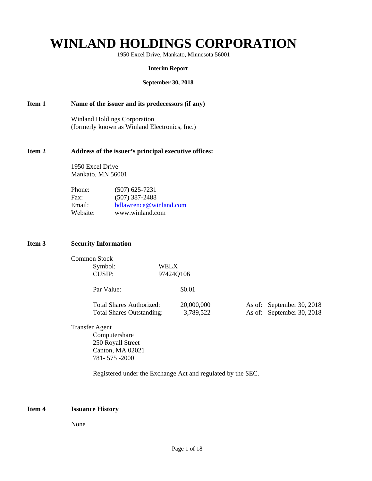# **WINLAND HOLDINGS CORPORATION**

1950 Excel Drive, Mankato, Minnesota 56001

#### **Interim Report**

#### **September 30, 2018**

# **Item 1 Name of the issuer and its predecessors (if any)**

Winland Holdings Corporation (formerly known as Winland Electronics, Inc.)

# **Item 2 Address of the issuer's principal executive offices:**

 1950 Excel Drive Mankato, MN 56001

| Phone:   | $(507)$ 625-7231       |
|----------|------------------------|
| Fax:     | $(507)$ 387-2488       |
| Email:   | bdlawrence@winland.com |
| Website: | www.winland.com        |

# **Item 3 Security Information**

| Common Stock |           |
|--------------|-----------|
| Symbol:      | WELX      |
| CUSIP:       | 97424Q106 |

Par Value:  $$0.01$ 

| <b>Total Shares Authorized:</b>  | 20,000,000 | As of: September 30, 2018 |
|----------------------------------|------------|---------------------------|
| <b>Total Shares Outstanding:</b> | 3,789,522  | As of: September 30, 2018 |

Transfer Agent Computershare 250 Royall Street Canton, MA 02021 781- 575 -2000

Registered under the Exchange Act and regulated by the SEC.

# **Item 4 Issuance History**

None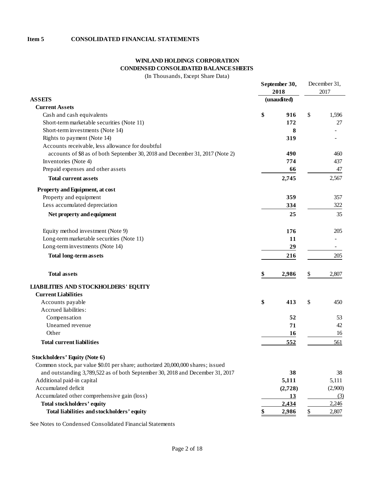# **Item 5 CONSOLIDATED FINANCIAL STATEMENTS**

# **WINLAND HOLDINGS CORPORATION CONDENSED CONSOLIDATED BALANCE SHEETS**

(In Thousands, Except Share Data)

|                                                                                |    | September 30, |      | December 31, |  |
|--------------------------------------------------------------------------------|----|---------------|------|--------------|--|
|                                                                                |    | 2018          | 2017 |              |  |
| <b>ASSETS</b>                                                                  |    | (unaudited)   |      |              |  |
| <b>Current Assets</b>                                                          |    |               |      |              |  |
| Cash and cash equivalents                                                      | \$ | 916           | \$   | 1,596        |  |
| Short-term marketable securities (Note 11)                                     |    | 172           |      | 27           |  |
| Short-term investments (Note 14)                                               |    | 8             |      |              |  |
| Rights to payment (Note 14)                                                    |    | 319           |      |              |  |
| Accounts receivable, less allowance for doubtful                               |    |               |      |              |  |
| accounts of \$8 as of both September 30, 2018 and December 31, 2017 (Note 2)   |    | 490           |      | 460          |  |
| Inventories (Note 4)                                                           |    | 774           |      | 437          |  |
| Prepaid expenses and other assets                                              |    | 66            |      | 47           |  |
| <b>Total current assets</b>                                                    |    | 2,745         |      | 2,567        |  |
| Property and Equipment, at cost                                                |    |               |      |              |  |
| Property and equipment                                                         |    | 359           |      | 357          |  |
| Less accumulated depreciation                                                  |    | 334           |      | 322          |  |
| Net property and equipment                                                     |    | 25            |      | 35           |  |
| Equity method investment (Note 9)                                              |    | 176           |      | 205          |  |
| Long-term marketable securities (Note 11)                                      |    | 11            |      |              |  |
| Long-term investments (Note 14)                                                |    | 29            |      |              |  |
| <b>Total long-term assets</b>                                                  |    | 216           |      | 205          |  |
|                                                                                |    |               |      |              |  |
| <b>Total assets</b>                                                            | \$ | 2,986         | \$   | 2,807        |  |
| <b>LIABILITIES AND STOCKHOLDERS' EQUITY</b>                                    |    |               |      |              |  |
| <b>Current Liabilities</b>                                                     |    |               |      |              |  |
| Accounts payable                                                               | \$ | 413           | \$   | 450          |  |
| Accrued liabilities:                                                           |    |               |      |              |  |
| Compensation                                                                   |    | 52            |      | 53           |  |
| Unearned revenue                                                               |    | 71            |      | 42           |  |
| Other                                                                          |    | 16            |      | 16           |  |
| <b>Total current liabilities</b>                                               |    | 552           |      | 561          |  |
| <b>Stockholders' Equity (Note 6)</b>                                           |    |               |      |              |  |
| Common stock, par value \$0.01 per share; authorized 20,000,000 shares; issued |    |               |      |              |  |
| and outstanding 3,789,522 as of both September 30, 2018 and December 31, 2017  |    | 38            |      | 38           |  |
| Additional paid-in capital                                                     |    | 5,111         |      | 5,111        |  |
| Accumulated deficit                                                            |    | (2,728)       |      | (2,900)      |  |
| Accumulated other comprehensive gain (loss)                                    |    | <u>13</u>     |      | (3)          |  |
| Total stockholders' equity                                                     |    | 2,434         |      | 2,246        |  |
| Total liabilities and stockholders' equity                                     |    | 2,986         |      | 2,807        |  |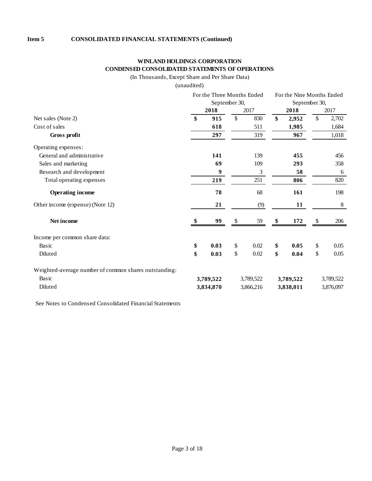# **WINLAND HOLDINGS CORPORATION CONDENSED CONSOLIDATED STATEMENTS OF OPERATIONS**

(In Thousands, Except Share and Per Share Data)

(unaudited)

|                                                       | For the Three Months Ended |           |               |                | For the Nine Months Ended |           |                           |           |
|-------------------------------------------------------|----------------------------|-----------|---------------|----------------|---------------------------|-----------|---------------------------|-----------|
|                                                       | September 30,              |           |               | September 30,  |                           |           |                           |           |
|                                                       |                            | 2018      |               | 2017           |                           | 2018      |                           | 2017      |
| Net sales (Note 2)                                    | \$                         | 915       | $\mathsf{\$}$ | 830            | \$                        | 2,952     | $\boldsymbol{\mathsf{S}}$ | 2,702     |
| Cost of sales                                         |                            | 618       |               | 511            |                           | 1,985     |                           | 1,684     |
| Gross profit                                          |                            | 297       |               | 319            |                           | 967       |                           | 1,018     |
| Operating expenses:                                   |                            |           |               |                |                           |           |                           |           |
| General and administrative                            |                            | 141       |               | 139            |                           | 455       |                           | 456       |
| Sales and marketing                                   |                            | 69        |               | 109            |                           | 293       |                           | 358       |
| Research and development                              |                            | 9         |               | $\mathfrak{Z}$ |                           | 58        |                           | 6         |
| Total operating expenses                              |                            | 219       |               | 251            |                           | 806       |                           | 820       |
| <b>Operating income</b>                               |                            | 78        |               | 68             |                           | 161       |                           | 198       |
| Other income (expense) (Note 12)                      |                            | 21        |               | (9)            |                           | 11        |                           | 8         |
| Net income                                            |                            | 99        | \$            | 59             | \$                        | 172       | \$                        | 206       |
| Income per common share data:                         |                            |           |               |                |                           |           |                           |           |
| Basic                                                 | \$                         | 0.03      | \$            | 0.02           | \$                        | 0.05      | \$                        | 0.05      |
| Diluted                                               | \$                         | 0.03      | \$            | 0.02           | \$                        | 0.04      | \$                        | 0.05      |
| Weighted-average number of common shares outstanding: |                            |           |               |                |                           |           |                           |           |
| Basic                                                 |                            | 3,789,522 |               | 3,789,522      |                           | 3,789,522 | 3,789,522                 |           |
| Diluted                                               |                            | 3,834,870 |               | 3,866,216      |                           | 3,838,011 |                           | 3,876,097 |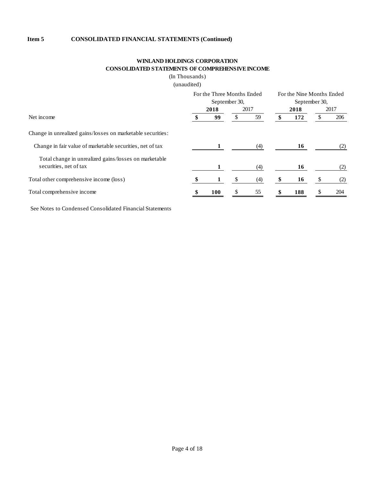# **WINLAND HOLDINGS CORPORATION CONSOLIDATED STATEMENTS OF COMPREHENSIVE INCOME**

(In Thousands)

(unaudited)

|                                                             | For the Three Months Ended<br>September 30, |      |      | For the Nine Months Ended |               |     |      |     |
|-------------------------------------------------------------|---------------------------------------------|------|------|---------------------------|---------------|-----|------|-----|
|                                                             |                                             |      |      |                           | September 30, |     |      |     |
|                                                             |                                             | 2018 | 2017 |                           | 2018          |     | 2017 |     |
| Net income                                                  |                                             | 99   |      | 59                        |               | 172 |      | 206 |
| Change in unrealized gains/losses on marketable securities: |                                             |      |      |                           |               |     |      |     |
| Change in fair value of marketable securities, net of tax   |                                             |      |      | (4)                       |               | 16  |      | (2) |
| Total change in unrealized gains/losses on marketable       |                                             |      |      |                           |               |     |      |     |
| securities, net of tax                                      |                                             |      |      | (4)                       |               | 16  |      | (2) |
| Total other comprehensive income (loss)                     |                                             |      |      | (4)                       |               | 16  |      | (2) |
| Total comprehensive income                                  |                                             | 100  | \$.  | 55                        |               | 188 | S    | 204 |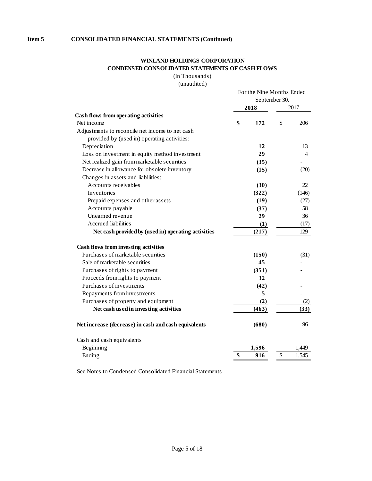# **WINLAND HOLDINGS CORPORATION CONDENSED CONSOLIDATED STATEMENTS OF CASH FLOWS**

(In Thousands)

(unaudited)

|                                                      | For the Nine Months Ended<br>September 30, |       |    |                |  |  |
|------------------------------------------------------|--------------------------------------------|-------|----|----------------|--|--|
|                                                      |                                            | 2018  |    | 2017           |  |  |
| Cash flows from operating activities                 |                                            |       |    |                |  |  |
| Net income                                           | \$                                         | 172   | \$ | 206            |  |  |
| Adjustments to reconcile net income to net cash      |                                            |       |    |                |  |  |
| provided by (used in) operating activities:          |                                            |       |    |                |  |  |
| Depreciation                                         |                                            | 12    |    | 13             |  |  |
| Loss on investment in equity method investment       |                                            | 29    |    | $\overline{4}$ |  |  |
| Net realized gain from marketable securities         |                                            | (35)  |    |                |  |  |
| Decrease in allowance for obsolete inventory         |                                            | (15)  |    | (20)           |  |  |
| Changes in assets and liabilities:                   |                                            |       |    |                |  |  |
| Accounts receivables                                 |                                            | (30)  |    | 22             |  |  |
| Inventories                                          |                                            | (322) |    | (146)          |  |  |
| Prepaid expenses and other assets                    |                                            | (19)  |    | (27)           |  |  |
| Accounts payable                                     |                                            | (37)  |    | 58             |  |  |
| Unearned revenue                                     |                                            | 29    |    | 36             |  |  |
| <b>Accrued liabilities</b>                           |                                            | (1)   |    | (17)           |  |  |
| Net cash provided by (used in) operating activities  |                                            | (217) |    | 129            |  |  |
| Cash flows from investing activities                 |                                            |       |    |                |  |  |
| Purchases of marketable securities                   |                                            | (150) |    | (31)           |  |  |
| Sale of marketable securities                        |                                            | 45    |    |                |  |  |
| Purchases of rights to payment                       |                                            | (351) |    |                |  |  |
| Proceeds from rights to payment                      |                                            | 32    |    |                |  |  |
| Purchases of investments                             |                                            | (42)  |    |                |  |  |
| Repayments from investments                          |                                            | 5     |    |                |  |  |
| Purchases of property and equipment                  |                                            | (2)   |    | (2)            |  |  |
| Net cash used in investing activities                |                                            | (463) |    | (33)           |  |  |
| Net increase (decrease) in cash and cash equivalents |                                            | (680) |    | 96             |  |  |
| Cash and cash equivalents                            |                                            |       |    |                |  |  |
| Beginning                                            |                                            | 1,596 |    | 1,449          |  |  |
| Ending                                               | \$                                         | 916   | \$ | 1,545          |  |  |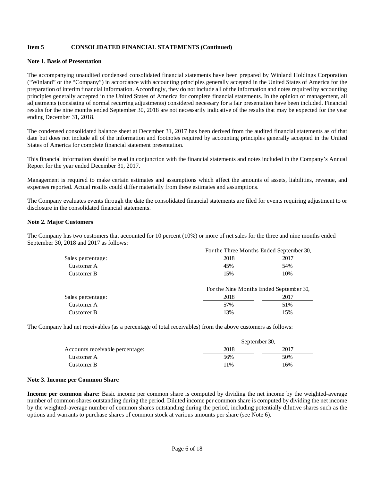#### **Note 1. Basis of Presentation**

The accompanying unaudited condensed consolidated financial statements have been prepared by Winland Holdings Corporation ("Winland" or the "Company") in accordance with accounting principles generally accepted in the United States of America for the preparation of interim financial information. Accordingly, they do not include all of the information and notes required by accounting principles generally accepted in the United States of America for complete financial statements. In the opinion of management, all adjustments (consisting of normal recurring adjustments) considered necessary for a fair presentation have been included. Financial results for the nine months ended September 30, 2018 are not necessarily indicative of the results that may be expected for the year ending December 31, 2018.

The condensed consolidated balance sheet at December 31, 2017 has been derived from the audited financial statements as of that date but does not include all of the information and footnotes required by accounting principles generally accepted in the United States of America for complete financial statement presentation.

This financial information should be read in conjunction with the financial statements and notes included in the Company's Annual Report for the year ended December 31, 2017.

Management is required to make certain estimates and assumptions which affect the amounts of assets, liabilities, revenue, and expenses reported. Actual results could differ materially from these estimates and assumptions.

The Company evaluates events through the date the consolidated financial statements are filed for events requiring adjustment to or disclosure in the consolidated financial statements.

#### **Note 2. Major Customers**

The Company has two customers that accounted for 10 percent (10%) or more of net sales for the three and nine months ended September 30, 2018 and 2017 as follows:

|                   | For the Three Months Ended September 30, |      |  |  |  |
|-------------------|------------------------------------------|------|--|--|--|
| Sales percentage: | 2018                                     | 2017 |  |  |  |
| Customer A        | 45%                                      | 54%  |  |  |  |
| Customer B        | 15%                                      | 10%  |  |  |  |
|                   |                                          |      |  |  |  |

|                   | For the Nine Months Ended September 30, |      |
|-------------------|-----------------------------------------|------|
| Sales percentage: | 2018                                    | 2017 |
| Customer A        | 57%                                     | 51%  |
| Customer B        | 13%                                     | 15%  |

The Company had net receivables (as a percentage of total receivables) from the above customers as follows:

|                                 | September 30, |      |
|---------------------------------|---------------|------|
| Accounts receivable percentage: | 2018          | 2017 |
| Customer A                      | 56%           | 50%  |
| Customer B                      | 11%           | 16%  |

#### **Note 3. Income per Common Share**

**Income per common share:** Basic income per common share is computed by dividing the net income by the weighted-average number of common shares outstanding during the period. Diluted income per common share is computed by dividing the net income by the weighted-average number of common shares outstanding during the period, including potentially dilutive shares such as the options and warrants to purchase shares of common stock at various amounts per share (see Note 6).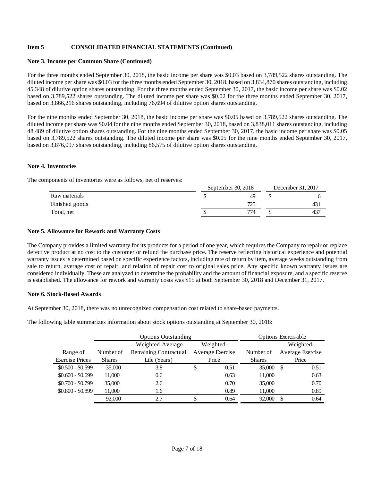#### **Note 3. Income per Common Share (Continued)**

For the three months ended September 30, 2018, the basic income per share was \$0.03 based on 3,789,522 shares outstanding. The diluted income per share was \$0.03 for the three months ended September 30, 2018, based on 3,834,870 shares outstanding, including 45,348 of dilutive option shares outstanding. For the three months ended September 30, 2017, the basic income per share was \$0.02 based on 3,789,522 shares outstanding. The diluted income per share was \$0.02 for the three months ended September 30, 2017, based on 3,866,216 shares outstanding, including 76,694 of dilutive option shares outstanding.

For the nine months ended September 30, 2018, the basic income per share was \$0.05 based on 3,789,522 shares outstanding. The diluted income per share was \$0.04 for the nine months ended September 30, 2018, based on 3,838,011 shares outstanding, including 48,489 of dilutive option shares outstanding. For the nine months ended September 30, 2017, the basic income per share was \$0.05 based on 3,789,522 shares outstanding. The diluted income per share was \$0.05 for the nine months ended September 30, 2017, based on 3,876,097 shares outstanding, including 86,575 of dilutive option shares outstanding.

# **Note 4. Inventories**

The components of inventories were as follows, net of reserves:

|                | September 30, 2018 | December 31, 2017 |  |     |
|----------------|--------------------|-------------------|--|-----|
| Raw materials  |                    | 49                |  |     |
| Finished goods |                    | 775               |  | 43, |
| Total, net     |                    | 774               |  | 43  |
|                |                    |                   |  |     |

 $S = \begin{bmatrix} 1 & 20, 2010 \\ 20, 2010 \end{bmatrix}$  D  $\begin{bmatrix} 1 & 21, 2017 \\ 20, 2017 \end{bmatrix}$ 

#### **Note 5. Allowance for Rework and Warranty Costs**

The Company provides a limited warranty for its products for a period of one year, which requires the Company to repair or replace defective product at no cost to the customer or refund the purchase price. The reserve reflecting historical experience and potential warranty issues is determined based on specific experience factors, including rate of return by item, average weeks outstanding from sale to return, average cost of repair, and relation of repair cost to original sales price. Any specific known warranty issues are considered individually. These are analyzed to determine the probability and the amount of financial exposure, and a specific reserve is established. The allowance for rework and warranty costs was \$15 at both September 30, 2018 and December 31, 2017.

# **Note 6. Stock-Based Awards**

At September 30, 2018, there was no unrecognized compensation cost related to share-based payments.

The following table summarizes information about stock options outstanding at September 30, 2018:

|                        |               | <b>Options Outstanding</b> |           |                  | Options Exercisable |     |                  |
|------------------------|---------------|----------------------------|-----------|------------------|---------------------|-----|------------------|
|                        |               | Weighted-Average           | Weighted- |                  |                     |     | Weighted-        |
| Range of               | Number of     | Remaining Contractual      |           | Average Exercise | Number of           |     | Average Exercise |
| <b>Exercise Prices</b> | <b>Shares</b> | Life (Years)               | Price     |                  | <b>Shares</b>       |     | Price            |
| $$0.500 - $0.599$      | 35,000        | 3.8                        | \$        | 0.51             | 35,000              | \$. | 0.51             |
| $$0.600 - $0.699$      | 11,000        | 0.6                        |           | 0.63             | 11,000              |     | 0.63             |
| $$0.700 - $0.799$      | 35,000        | 2.6                        |           | 0.70             | 35,000              |     | 0.70             |
| $$0.800 - $0.899$      | 11,000        | 1.6                        |           | 0.89             | 11,000              |     | 0.89             |
|                        | 92,000        | 2.7                        | ۰ħ        | 0.64             | 92,000              | S   | 0.64             |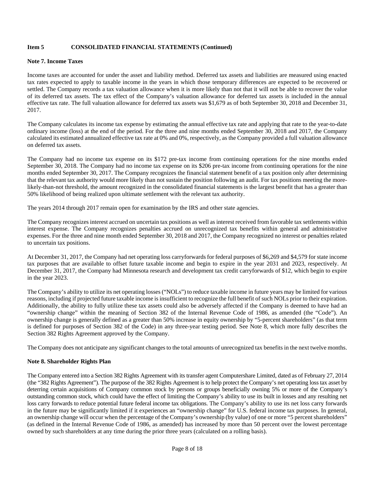#### **Note 7. Income Taxes**

Income taxes are accounted for under the asset and liability method. Deferred tax assets and liabilities are measured using enacted tax rates expected to apply to taxable income in the years in which those temporary differences are expected to be recovered or settled. The Company records a tax valuation allowance when it is more likely than not that it will not be able to recover the value of its deferred tax assets. The tax effect of the Company's valuation allowance for deferred tax assets is included in the annual effective tax rate. The full valuation allowance for deferred tax assets was \$1,679 as of both September 30, 2018 and December 31, 2017.

The Company calculates its income tax expense by estimating the annual effective tax rate and applying that rate to the year-to-date ordinary income (loss) at the end of the period. For the three and nine months ended September 30, 2018 and 2017, the Company calculated its estimated annualized effective tax rate at 0% and 0%, respectively, as the Company provided a full valuation allowance on deferred tax assets.

The Company had no income tax expense on its \$172 pre-tax income from continuing operations for the nine months ended September 30, 2018. The Company had no income tax expense on its \$206 pre-tax income from continuing operations for the nine months ended September 30, 2017. The Company recognizes the financial statement benefit of a tax position only after determining that the relevant tax authority would more likely than not sustain the position following an audit. For tax positions meeting the morelikely-than-not threshold, the amount recognized in the consolidated financial statements is the largest benefit that has a greater than 50% likelihood of being realized upon ultimate settlement with the relevant tax authority.

The years 2014 through 2017 remain open for examination by the IRS and other state agencies.

The Company recognizes interest accrued on uncertain tax positions as well as interest received from favorable tax settlements within interest expense. The Company recognizes penalties accrued on unrecognized tax benefits within general and administrative expenses. For the three and nine month ended September 30, 2018 and 2017, the Company recognized no interest or penalties related to uncertain tax positions.

At December 31, 2017, the Company had net operating loss carryforwards for federal purposes of \$6,269 and \$4,579 for state income tax purposes that are available to offset future taxable income and begin to expire in the year 2031 and 2023, respectively. At December 31, 2017, the Company had Minnesota research and development tax credit carryforwards of \$12, which begin to expire in the year 2023.

The Company's ability to utilize its net operating losses ("NOLs") to reduce taxable income in future years may be limited for various reasons, including if projected future taxable income is insufficient to recognize the full benefit of such NOLs prior to their expiration. Additionally, the ability to fully utilize these tax assets could also be adversely affected if the Company is deemed to have had an "ownership change" within the meaning of Section 382 of the Internal Revenue Code of 1986, as amended (the "Code"). An ownership change is generally defined as a greater than 50% increase in equity ownership by "5-percent shareholders" (as that term is defined for purposes of Section 382 of the Code) in any three-year testing period. See Note 8, which more fully describes the Section 382 Rights Agreement approved by the Company.

The Company does not anticipate any significant changes to the total amounts of unrecognized tax benefits in the next twelve months.

# **Note 8. Shareholder Rights Plan**

The Company entered into a Section 382 Rights Agreement with its transfer agent Computershare Limited, dated as of February 27, 2014 (the "382 Rights Agreement"). The purpose of the 382 Rights Agreement is to help protect the Company's net operating loss tax asset by deterring certain acquisitions of Company common stock by persons or groups beneficially owning 5% or more of the Company's outstanding common stock, which could have the effect of limiting the Company's ability to use its built in losses and any resulting net loss carry forwards to reduce potential future federal income tax obligations. The Company's ability to use its net loss carry forwards in the future may be significantly limited if it experiences an "ownership change" for U.S. federal income tax purposes. In general, an ownership change will occur when the percentage of the Company's ownership (by value) of one or more "5 percent shareholders" (as defined in the Internal Revenue Code of 1986, as amended) has increased by more than 50 percent over the lowest percentage owned by such shareholders at any time during the prior three years (calculated on a rolling basis).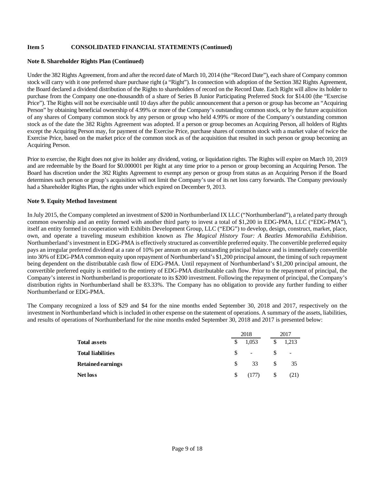#### **Note 8. Shareholder Rights Plan (Continued)**

Under the 382 Rights Agreement, from and after the record date of March 10, 2014 (the "Record Date"), each share of Company common stock will carry with it one preferred share purchase right (a "Right"). In connection with adoption of the Section 382 Rights Agreement, the Board declared a dividend distribution of the Rights to shareholders of record on the Record Date. Each Right will allow its holder to purchase from the Company one one-thousandth of a share of Series B Junior Participating Preferred Stock for \$14.00 (the "Exercise Price"). The Rights will not be exercisable until 10 days after the public announcement that a person or group has become an "Acquiring Person" by obtaining beneficial ownership of 4.99% or more of the Company's outstanding common stock, or by the future acquisition of any shares of Company common stock by any person or group who held 4.99% or more of the Company's outstanding common stock as of the date the 382 Rights Agreement was adopted. If a person or group becomes an Acquiring Person, all holders of Rights except the Acquiring Person may, for payment of the Exercise Price, purchase shares of common stock with a market value of twice the Exercise Price, based on the market price of the common stock as of the acquisition that resulted in such person or group becoming an Acquiring Person.

Prior to exercise, the Right does not give its holder any dividend, voting, or liquidation rights. The Rights will expire on March 10, 2019 and are redeemable by the Board for \$0.000001 per Right at any time prior to a person or group becoming an Acquiring Person. The Board has discretion under the 382 Rights Agreement to exempt any person or group from status as an Acquiring Person if the Board determines such person or group's acquisition will not limit the Company's use of its net loss carry forwards. The Company previously had a Shareholder Rights Plan, the rights under which expired on December 9, 2013.

# **Note 9. Equity Method Investment**

In July 2015, the Company completed an investment of \$200 in Northumberland IX LLC ("Northumberland"), a related party through common ownership and an entity formed with another third party to invest a total of \$1,200 in EDG-PMA, LLC ("EDG-PMA"), itself an entity formed in cooperation with Exhibits Development Group, LLC ("EDG") to develop, design, construct, market, place, own, and operate a traveling museum exhibition known as *The Magical History Tour: A Beatles Memorabilia Exhibition*. Northumberland's investment in EDG-PMA is effectively structured as convertible preferred equity. The convertible preferred equity pays an irregular preferred dividend at a rate of 10% per annum on any outstanding principal balance and is immediately convertible into 30% of EDG-PMA common equity upon repayment of Northumberland's \$1,200 principal amount, the timing of such repayment being dependent on the distributable cash flow of EDG-PMA. Until repayment of Northumberland's \$1,200 principal amount, the convertible preferred equity is entitled to the entirety of EDG-PMA distributable cash flow. Prior to the repayment of principal, the Company's interest in Northumberland is proportionate to its \$200 investment. Following the repayment of principal, the Company's distribution rights in Northumberland shall be 83.33%. The Company has no obligation to provide any further funding to either Northumberland or EDG-PMA.

The Company recognized a loss of \$29 and \$4 for the nine months ended September 30, 2018 and 2017, respectively on the investment in Northumberland which is included in other expense on the statement of operations. A summary of the assets, liabilities, and results of operations of Northumberland for the nine months ended September 30, 2018 and 2017 is presented below:

|                          |     | 2018   | 2017 |        |  |
|--------------------------|-----|--------|------|--------|--|
| <b>Total assets</b>      |     | 1,053  | \$   | 1,213  |  |
| <b>Total liabilities</b> | S.  | $\sim$ |      | $\sim$ |  |
| <b>Retained earnings</b> | S.  | 33     | \$.  | 35     |  |
| <b>Net loss</b>          | \$. | (177)  | \$   | (21)   |  |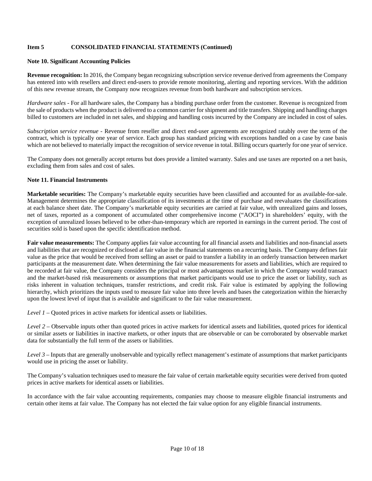#### **Note 10. Significant Accounting Policies**

**Revenue recognition:** In 2016, the Company began recognizing subscription service revenue derived from agreements the Company has entered into with resellers and direct end-users to provide remote monitoring, alerting and reporting services. With the addition of this new revenue stream, the Company now recognizes revenue from both hardware and subscription services.

*Hardware sales -* For all hardware sales, the Company has a binding purchase order from the customer. Revenue is recognized from the sale of products when the product is delivered to a common carrier for shipment and title transfers. Shipping and handling charges billed to customers are included in net sales, and shipping and handling costs incurred by the Company are included in cost of sales.

*Subscription service revenue -* Revenue from reseller and direct end-user agreements are recognized ratably over the term of the contract, which is typically one year of service. Each group has standard pricing with exceptions handled on a case by case basis which are not believed to materially impact the recognition of service revenue in total. Billing occurs quarterly for one year of service.

The Company does not generally accept returns but does provide a limited warranty. Sales and use taxes are reported on a net basis, excluding them from sales and cost of sales.

#### **Note 11. Financial Instruments**

**Marketable securities:** The Company's marketable equity securities have been classified and accounted for as available-for-sale. Management determines the appropriate classification of its investments at the time of purchase and reevaluates the classifications at each balance sheet date. The Company's marketable equity securities are carried at fair value, with unrealized gains and losses, net of taxes, reported as a component of accumulated other comprehensive income ("AOCI") in shareholders' equity, with the exception of unrealized losses believed to be other-than-temporary which are reported in earnings in the current period. The cost of securities sold is based upon the specific identification method.

**Fair value measurements:** The Company applies fair value accounting for all financial assets and liabilities and non-financial assets and liabilities that are recognized or disclosed at fair value in the financial statements on a recurring basis. The Company defines fair value as the price that would be received from selling an asset or paid to transfer a liability in an orderly transaction between market participants at the measurement date. When determining the fair value measurements for assets and liabilities, which are required to be recorded at fair value, the Company considers the principal or most advantageous market in which the Company would transact and the market-based risk measurements or assumptions that market participants would use to price the asset or liability, such as risks inherent in valuation techniques, transfer restrictions, and credit risk. Fair value is estimated by applying the following hierarchy, which prioritizes the inputs used to measure fair value into three levels and bases the categorization within the hierarchy upon the lowest level of input that is available and significant to the fair value measurement.

*Level 1* – Quoted prices in active markets for identical assets or liabilities.

*Level 2* – Observable inputs other than quoted prices in active markets for identical assets and liabilities, quoted prices for identical or similar assets or liabilities in inactive markets, or other inputs that are observable or can be corroborated by observable market data for substantially the full term of the assets or liabilities.

*Level 3* – Inputs that are generally unobservable and typically reflect management's estimate of assumptions that market participants would use in pricing the asset or liability.

The Company's valuation techniques used to measure the fair value of certain marketable equity securities were derived from quoted prices in active markets for identical assets or liabilities.

In accordance with the fair value accounting requirements, companies may choose to measure eligible financial instruments and certain other items at fair value. The Company has not elected the fair value option for any eligible financial instruments.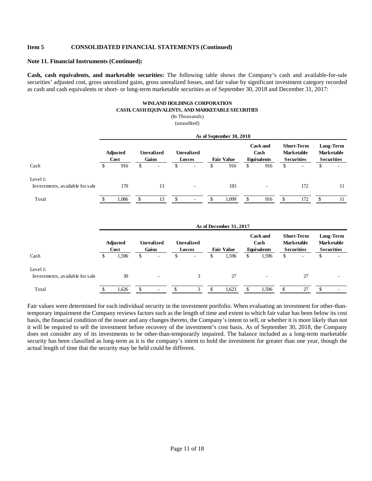#### **Note 11. Financial Instruments (Continued):**

**Cash, cash equivalents, and marketable securities:** The following table shows the Company's cash and available-for-sale securities' adjusted cost, gross unrealized gains, gross unrealized losses, and fair value by significant investment category recorded as cash and cash equivalents or short- or long-term marketable securities as of September 30, 2018 and December 31, 2017:

#### **WINLAND HOLDINGS CORPORATION CASH, CASH EQUIVALENTS, AND MARKETABLE SECURITIES**

(In Thousands) (unaudited)

|                                             |                         | As of September 30, 2018 |                            |                          |                             |                          |                   |       |                                        |     |                                                             |                          |                                                     |                          |
|---------------------------------------------|-------------------------|--------------------------|----------------------------|--------------------------|-----------------------------|--------------------------|-------------------|-------|----------------------------------------|-----|-------------------------------------------------------------|--------------------------|-----------------------------------------------------|--------------------------|
|                                             | <b>Adjusted</b><br>Cost |                          | <b>Unrealized</b><br>Gains |                          | <b>Unrealized</b><br>Losses |                          | <b>Fair Value</b> |       | Cash and<br>Cash<br><b>Equivalents</b> |     | <b>Short-Term</b><br><b>Marketable</b><br><b>Securities</b> |                          | Long-Term<br><b>Marketable</b><br><b>Securities</b> |                          |
| Cash                                        | S                       | 916                      | \$                         | $\overline{\phantom{a}}$ | <sup>\$</sup>               | $\overline{\phantom{a}}$ | \$                | 916   | S.                                     | 916 | \$                                                          | $\overline{\phantom{a}}$ | S                                                   | $\overline{\phantom{a}}$ |
| Level 1:<br>Investments, available for sale |                         | 170                      |                            | 13                       |                             | $\overline{\phantom{a}}$ |                   | 183   |                                        | ۰   |                                                             | 172                      |                                                     | 11                       |
| Total                                       |                         | 1,086                    |                            | 13                       | £.                          | ۰                        |                   | 1.099 |                                        | 916 |                                                             | 172                      |                                                     | 11                       |

|                                             | As of December 31, 2017 |       |                            |        |                             |        |                   |       |                                        |       |                                                             |                          |                                                     |  |
|---------------------------------------------|-------------------------|-------|----------------------------|--------|-----------------------------|--------|-------------------|-------|----------------------------------------|-------|-------------------------------------------------------------|--------------------------|-----------------------------------------------------|--|
|                                             | <b>Adjusted</b><br>Cost |       | <b>Unrealized</b><br>Gains |        | <b>Unrealized</b><br>Losses |        | <b>Fair Value</b> |       | Cash and<br>Cash<br><b>Equivalents</b> |       | <b>Short-Term</b><br><b>Marketable</b><br><b>Securities</b> |                          | Long-Term<br><b>Marketable</b><br><b>Securities</b> |  |
| Cash                                        |                         | 1,596 | \$                         | ٠      | S                           | $\sim$ | ъ                 | 1,596 | \$                                     | 1,596 | \$                                                          | $\overline{\phantom{a}}$ | S                                                   |  |
| Level 1:<br>Investments, available for sale |                         | 30    |                            | $\sim$ |                             | 3      |                   | 27    |                                        |       |                                                             | 27                       |                                                     |  |
| Total                                       |                         | 1,626 |                            | $\sim$ |                             |        |                   | 1,623 |                                        | 1,596 |                                                             | 27                       |                                                     |  |

Fair values were determined for each individual security in the investment portfolio. When evaluating an investment for other-thantemporary impairment the Company reviews factors such as the length of time and extent to which fair value has been below its cost basis, the financial condition of the issuer and any changes thereto, the Company's intent to sell, or whether it is more likely than not it will be required to sell the investment before recovery of the investment's cost basis. As of September 30, 2018, the Company does not consider any of its investments to be other-than-temporarily impaired. The balance included as a long-term marketable security has been classified as long-term as it is the company's intent to hold the investment for greater than one year, though the actual length of time that the security may be held could be different.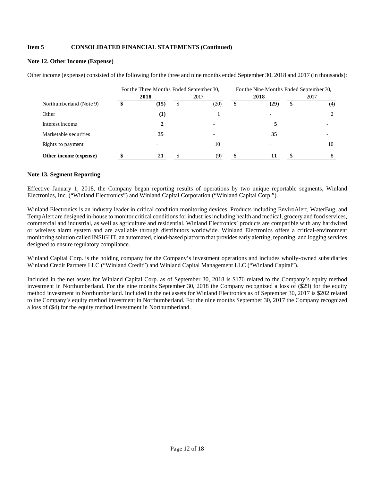## **Note 12. Other Income (Expense)**

Other income (expense) consisted of the following for the three and nine months ended September 30, 2018 and 2017 (in thousands):

|                         | For the Three Months Ended September 30, |                |      |      |   | For the Nine Months Ended September 30, |      |     |  |  |  |
|-------------------------|------------------------------------------|----------------|------|------|---|-----------------------------------------|------|-----|--|--|--|
|                         |                                          | 2018           | 2017 |      |   | 2018                                    | 2017 |     |  |  |  |
| Northumberland (Note 9) |                                          | (15)           | S    | (20) | S | (29)                                    | S    | (4) |  |  |  |
| Other                   |                                          | $\bf(1)$       |      |      |   |                                         |      | 2   |  |  |  |
| Interest income         |                                          | 2              |      |      |   |                                         |      |     |  |  |  |
| Marketable securities   |                                          | 35             |      |      |   | 35                                      |      |     |  |  |  |
| Rights to payment       |                                          | $\blacksquare$ |      | 10   |   |                                         |      | 10  |  |  |  |
| Other income (expense)  |                                          | 21             |      |      |   |                                         |      |     |  |  |  |

#### **Note 13. Segment Reporting**

Effective January 1, 2018, the Company began reporting results of operations by two unique reportable segments, Winland Electronics, Inc. ("Winland Electronics") and Winland Capital Corporation ("Winland Capital Corp.").

Winland Electronics is an industry leader in critical condition monitoring devices. Products including EnviroAlert, WaterBug, and TempAlert are designed in-house to monitor critical conditions for industries including health and medical, grocery and food services, commercial and industrial, as well as agriculture and residential. Winland Electronics' products are compatible with any hardwired or wireless alarm system and are available through distributors worldwide. Winland Electronics offers a critical-environment monitoring solution called INSIGHT, an automated, cloud-based platform that provides early alerting, reporting, and logging services designed to ensure regulatory compliance.

Winland Capital Corp. is the holding company for the Company's investment operations and includes wholly-owned subsidiaries Winland Credit Partners LLC ("Winland Credit") and Winland Capital Management LLC ("Winland Capital").

Included in the net assets for Winland Capital Corp. as of September 30, 2018 is \$176 related to the Company's equity method investment in Northumberland. For the nine months September 30, 2018 the Company recognized a loss of (\$29) for the equity method investment in Northumberland. Included in the net assets for Winland Electronics as of September 30, 2017 is \$202 related to the Company's equity method investment in Northumberland. For the nine months September 30, 2017 the Company recognized a loss of (\$4) for the equity method investment in Northumberland.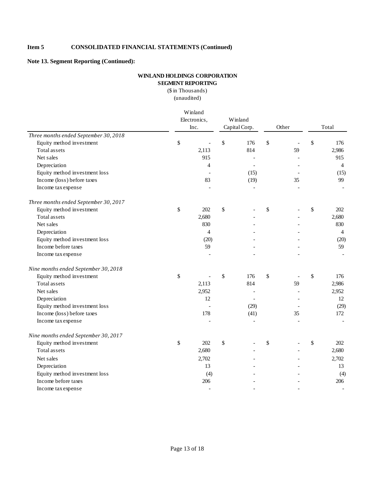**Note 13. Segment Reporting (Continued):**

# **WINLAND HOLDINGS CORPORATION SEGMENT REPORTING**

(\$ in Thousands) (unaudited)

|                                       | Winland<br>Electronics,<br>Inc. |       | Winland<br>Capital Corp. |                          | Other |    | Total          |
|---------------------------------------|---------------------------------|-------|--------------------------|--------------------------|-------|----|----------------|
| Three months ended September 30, 2018 |                                 |       |                          |                          |       |    |                |
| Equity method investment              | \$                              |       | \$                       | 176                      | \$    |    | \$<br>176      |
| Total assets                          |                                 | 2,113 |                          | 814                      |       | 59 | 2,986          |
| Net sales                             |                                 | 915   |                          |                          |       |    | 915            |
| Depreciation                          |                                 | 4     |                          |                          |       |    | $\overline{4}$ |
| Equity method investment loss         |                                 |       |                          | (15)                     |       |    | (15)           |
| Income (loss) before taxes            |                                 | 83    |                          | (19)                     |       | 35 | 99             |
| Income tax expense                    |                                 |       |                          |                          |       |    |                |
| Three months ended September 30, 2017 |                                 |       |                          |                          |       |    |                |
| Equity method investment              | \$                              | 202   | \$                       |                          | \$    |    | \$<br>202      |
| Total assets                          |                                 | 2,680 |                          |                          |       |    | 2,680          |
| Net sales                             |                                 | 830   |                          |                          |       |    | 830            |
| Depreciation                          |                                 | 4     |                          |                          |       |    | $\overline{4}$ |
| Equity method investment loss         |                                 | (20)  |                          |                          |       |    | (20)           |
| Income before taxes                   |                                 | 59    |                          |                          |       |    | 59             |
| Income tax expense                    |                                 |       |                          |                          |       |    |                |
| Nine months ended September 30, 2018  |                                 |       |                          |                          |       |    |                |
| Equity method investment              | \$                              |       | \$                       | 176                      | \$    |    | \$<br>176      |
| Total assets                          |                                 | 2,113 |                          | 814                      |       | 59 | 2,986          |
| Net sales                             |                                 | 2,952 |                          | $\overline{\phantom{a}}$ |       |    | 2,952          |
| Depreciation                          |                                 | 12    |                          | $\overline{a}$           |       |    | 12             |
| Equity method investment loss         |                                 |       |                          | (29)                     |       |    | (29)           |
| Income (loss) before taxes            |                                 | 178   |                          | (41)                     |       | 35 | 172            |
| Income tax expense                    |                                 |       |                          |                          |       |    |                |
| Nine months ended September 30, 2017  |                                 |       |                          |                          |       |    |                |
| Equity method investment              | \$                              | 202   | \$                       |                          | \$    |    | \$<br>202      |
| Total assets                          |                                 | 2,680 |                          |                          |       |    | 2,680          |
| Net sales                             |                                 | 2,702 |                          |                          |       |    | 2,702          |
| Depreciation                          |                                 | 13    |                          |                          |       |    | 13             |
| Equity method investment loss         |                                 | (4)   |                          |                          |       |    | (4)            |
| Income before taxes                   |                                 | 206   |                          |                          |       |    | 206            |
| Income tax expense                    |                                 |       |                          |                          |       |    |                |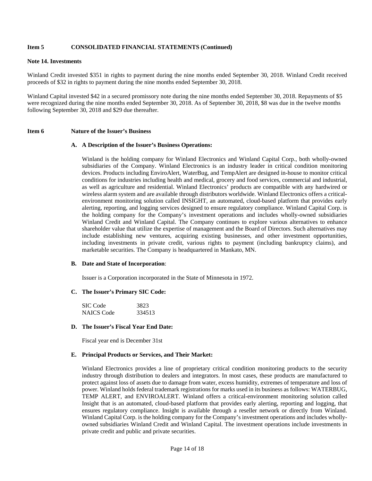#### **Note 14. Investments**

Winland Credit invested \$351 in rights to payment during the nine months ended September 30, 2018. Winland Credit received proceeds of \$32 in rights to payment during the nine months ended September 30, 2018.

Winland Capital invested \$42 in a secured promissory note during the nine months ended September 30, 2018. Repayments of \$5 were recognized during the nine months ended September 30, 2018. As of September 30, 2018, \$8 was due in the twelve months following September 30, 2018 and \$29 due thereafter.

#### **Item 6 Nature of the Issuer's Business**

#### **A. A Description of the Issuer's Business Operations:**

Winland is the holding company for Winland Electronics and Winland Capital Corp., both wholly-owned subsidiaries of the Company. Winland Electronics is an industry leader in critical condition monitoring devices. Products including EnviroAlert, WaterBug, and TempAlert are designed in-house to monitor critical conditions for industries including health and medical, grocery and food services, commercial and industrial, as well as agriculture and residential. Winland Electronics' products are compatible with any hardwired or wireless alarm system and are available through distributors worldwide. Winland Electronics offers a criticalenvironment monitoring solution called INSIGHT, an automated, cloud-based platform that provides early alerting, reporting, and logging services designed to ensure regulatory compliance. Winland Capital Corp. is the holding company for the Company's investment operations and includes wholly-owned subsidiaries Winland Credit and Winland Capital. The Company continues to explore various alternatives to enhance shareholder value that utilize the expertise of management and the Board of Directors. Such alternatives may include establishing new ventures, acquiring existing businesses, and other investment opportunities, including investments in private credit, various rights to payment (including bankruptcy claims), and marketable securities. The Company is headquartered in Mankato, MN.

#### **B. Date and State of Incorporation**:

Issuer is a Corporation incorporated in the State of Minnesota in 1972.

#### **C. The Issuer's Primary SIC Code:**

| SIC Code          | 3823   |
|-------------------|--------|
| <b>NAICS</b> Code | 334513 |

#### **D. The Issuer's Fiscal Year End Date:**

Fiscal year end is December 31st

#### **E. Principal Products or Services, and Their Market:**

Winland Electronics provides a line of proprietary critical condition monitoring products to the security industry through distribution to dealers and integrators. In most cases, these products are manufactured to protect against loss of assets due to damage from water, excess humidity, extremes of temperature and loss of power. Winland holds federal trademark registrations for marks used in its business as follows: WATERBUG, TEMP ALERT, and ENVIROALERT. Winland offers a critical-environment monitoring solution called Insight that is an automated, cloud-based platform that provides early alerting, reporting and logging, that ensures regulatory compliance. Insight is available through a reseller network or directly from Winland. Winland Capital Corp. is the holding company for the Company's investment operations and includes whollyowned subsidiaries Winland Credit and Winland Capital. The investment operations include investments in private credit and public and private securities.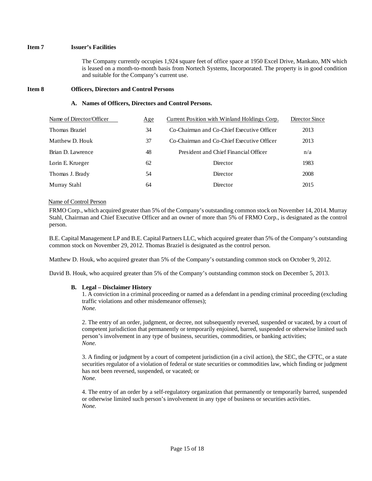# **Item 7 Issuer's Facilities**

The Company currently occupies 1,924 square feet of office space at 1950 Excel Drive, Mankato, MN which is leased on a month-to-month basis from Nortech Systems, Incorporated. The property is in good condition and suitable for the Company's current use.

#### **Item 8 Officers, Directors and Control Persons**

#### **A. Names of Officers, Directors and Control Persons.**

| Name of Director/Officer | Age | Current Position with Winland Holdings Corp. | Director Since |
|--------------------------|-----|----------------------------------------------|----------------|
| Thomas Braziel           | 34  | Co-Chairman and Co-Chief Executive Officer   | 2013           |
| Matthew D. Houk          | 37  | Co-Chairman and Co-Chief Executive Officer   | 2013           |
| Brian D. Lawrence        | 48  | President and Chief Financial Officer        | n/a            |
| Lorin E. Krueger         | 62  | Director                                     | 1983           |
| Thomas J. Brady          | 54  | <b>Director</b>                              | 2008           |
| Murray Stahl             | 64  | Director                                     | 2015           |

#### Name of Control Person

FRMO Corp., which acquired greater than 5% of the Company's outstanding common stock on November 14, 2014. Murray Stahl, Chairman and Chief Executive Officer and an owner of more than 5% of FRMO Corp., is designated as the control person.

B.E. Capital Management LP and B.E. Capital Partners LLC, which acquired greater than 5% of the Company's outstanding common stock on November 29, 2012. Thomas Braziel is designated as the control person.

Matthew D. Houk, who acquired greater than 5% of the Company's outstanding common stock on October 9, 2012.

David B. Houk, who acquired greater than 5% of the Company's outstanding common stock on December 5, 2013.

# **B. Legal – Disclaimer History**

1. A conviction in a criminal proceeding or named as a defendant in a pending criminal proceeding (excluding traffic violations and other misdemeanor offenses); *None.* 

2. The entry of an order, judgment, or decree, not subsequently reversed, suspended or vacated, by a court of competent jurisdiction that permanently or temporarily enjoined, barred, suspended or otherwise limited such person's involvement in any type of business, securities, commodities, or banking activities; *None.* 

3. A finding or judgment by a court of competent jurisdiction (in a civil action), the SEC, the CFTC, or a state securities regulator of a violation of federal or state securities or commodities law, which finding or judgment has not been reversed, suspended, or vacated; or *None.* 

4. The entry of an order by a self-regulatory organization that permanently or temporarily barred, suspended or otherwise limited such person's involvement in any type of business or securities activities. *None.*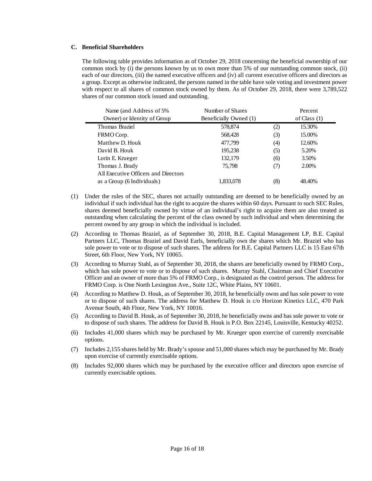#### **C. Beneficial Shareholders**

The following table provides information as of October 29, 2018 concerning the beneficial ownership of our common stock by (i) the persons known by us to own more than 5% of our outstanding common stock, (ii) each of our directors, (iii) the named executive officers and (iv) all current executive officers and directors as a group. Except as otherwise indicated, the persons named in the table have sole voting and investment power with respect to all shares of common stock owned by them. As of October 29, 2018, there were 3,789,522 shares of our common stock issued and outstanding.

| Name (and Address of 5%)             | Number of Shares       |     | Percent        |  |
|--------------------------------------|------------------------|-----|----------------|--|
| Owner) or Identity of Group          | Beneficially Owned (1) |     | of Class $(1)$ |  |
| Thomas Braziel                       | 578,874                | (2) | 15.30%         |  |
| FRMO Corp.                           | 568,428                | (3) | 15.00%         |  |
| Matthew D. Houk                      | 477,799                | (4) | 12.60%         |  |
| David B. Houk                        | 195,238                | (5) | 5.20%          |  |
| Lorin E. Krueger                     | 132,179                | (6) | 3.50%          |  |
| Thomas J. Brady                      | 75,798                 | (7) | 2.00%          |  |
| All Executive Officers and Directors |                        |     |                |  |
| as a Group (6 Individuals)           | 1.833.078              | (8) | 48.40%         |  |
|                                      |                        |     |                |  |

- (1) Under the rules of the SEC, shares not actually outstanding are deemed to be beneficially owned by an individual if such individual has the right to acquire the shares within 60 days. Pursuant to such SEC Rules, shares deemed beneficially owned by virtue of an individual's right to acquire them are also treated as outstanding when calculating the percent of the class owned by such individual and when determining the percent owned by any group in which the individual is included.
- (2) According to Thomas Braziel, as of September 30, 2018, B.E. Capital Management LP, B.E. Capital Partners LLC, Thomas Braziel and David Earls, beneficially own the shares which Mr. Braziel who has sole power to vote or to dispose of such shares. The address for B.E. Capital Partners LLC is 15 East 67th Street, 6th Floor, New York, NY 10065.
- (3) According to Murray Stahl, as of September 30, 2018, the shares are beneficially owned by FRMO Corp., which has sole power to vote or to dispose of such shares. Murray Stahl, Chairman and Chief Executive Officer and an owner of more than 5% of FRMO Corp., is designated as the control person. The address for FRMO Corp. is One North Lexington Ave., Suite 12C, White Plains, NY 10601.
- (4) According to Matthew D. Houk, as of September 30, 2018, he beneficially owns and has sole power to vote or to dispose of such shares. The address for Matthew D. Houk is c/o Horizon Kinetics LLC, 470 Park Avenue South, 4th Floor, New York, NY 10016.
- (5) According to David B. Houk, as of September 30, 2018, he beneficially owns and has sole power to vote or to dispose of such shares. The address for David B. Houk is P.O. Box 22145, Louisville, Kentucky 40252.
- (6) Includes 41,000 shares which may be purchased by Mr. Krueger upon exercise of currently exercisable options.
- (7) Includes 2,155 shares held by Mr. Brady's spouse and 51,000 shares which may be purchased by Mr. Brady upon exercise of currently exercisable options.
- (8) Includes 92,000 shares which may be purchased by the executive officer and directors upon exercise of currently exercisable options.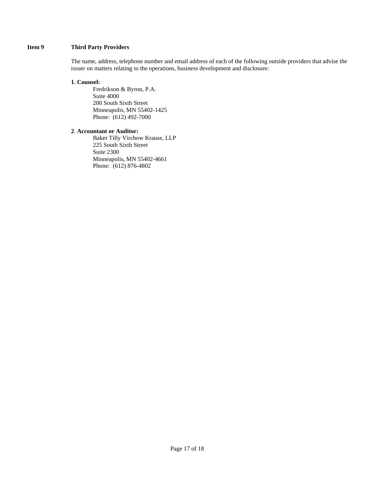# **Item 9 Third Party Providers**

The name, address, telephone number and email address of each of the following outside providers that advise the issuer on matters relating to the operations, business development and disclosure:

#### **1. Counsel:**

Fredrikson & Byron, P.A. Suite 4000 200 South Sixth Street Minneapolis, MN 55402-1425 Phone: (612) 492-7000

# **2**. **Accountant or Auditor:**

 Baker Tilly Virchow Krause, LLP 225 South Sixth Street Suite 2300 Minneapolis, MN 55402-4661 Phone: (612) 876-4802